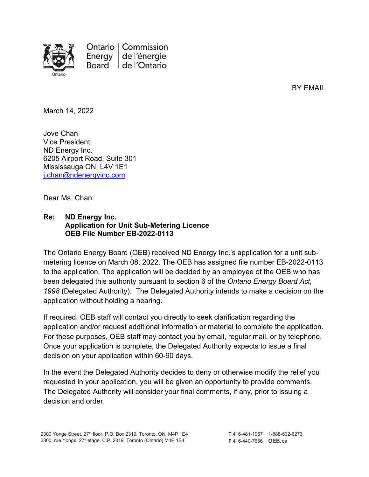

Ontario | Commission Energy de l'énergie Board de l'Ontario

BY EMAIL

March 14, 2022

Jove Chan Vice President ND Energy Inc. 6205 Airport Road, Suite 301 Mississauga ON L4V 1E1 [j.chan@ndenergyinc.com](mailto:j.chan@ndenergyinc.com)

Dear Ms. Chan:

## **Re: ND Energy Inc. Application for Unit Sub-Metering Licence OEB File Number EB-2022-0113**

The Ontario Energy Board (OEB) received ND Energy Inc.'s application for a unit submetering licence on March 08, 2022. The OEB has assigned file number EB-2022-0113 to the application. The application will be decided by an employee of the OEB who has been delegated this authority pursuant to section 6 of the *Ontario Energy Board Act, 1998* (Delegated Authority). The Delegated Authority intends to make a decision on the application without holding a hearing.

If required, OEB staff will contact you directly to seek clarification regarding the application and/or request additional information or material to complete the application. For these purposes, OEB staff may contact you by email, regular mail, or by telephone. Once your application is complete, the Delegated Authority expects to issue a final decision on your application within 60-90 days.

In the event the Delegated Authority decides to deny or otherwise modify the relief you requested in your application, you will be given an opportunity to provide comments. The Delegated Authority will consider your final comments, if any, prior to issuing a decision and order.